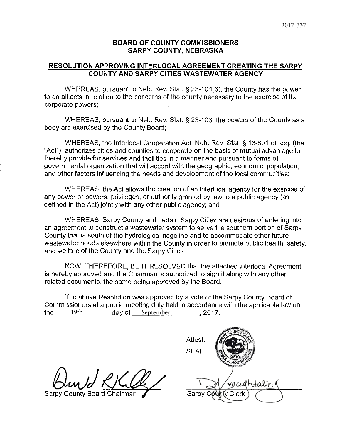# **BOARD OF COUNTY COMMISSIONERS SARPY COUNTY, NEBRASKA**

# **RESOLUTION APPROVING INTERLOCAL AGREEMENT CREATING THE SARPY COUNTY AND SARPY CITIES WASTEWATER AGENCY**

WHEREAS, pursuant to Neb. Rev. Stat.§ 23-104(6), the County has the power to do all acts in relation to the concerns of the county necessary to the exercise of its corporate powers;

WHEREAS, pursuant to Neb. Rev. Stat. § 23-103, the powers of the County as a body are exercised by the County Board;

WHEREAS, the lnterlocal Cooperation Act, Neb. Rev. Stat.§ 13-801 et seq. (the "Act"), authorizes cities and counties to cooperate on the basis of mutual advantage to thereby provide for services and facilities in a manner and pursuant to forms of governmental organization that will accord with the geographic, economic, population, and other factors influencing the needs and development of the local communities;

WHEREAS, the Act allows the creation of an interlocal agency for the exercise of any power or powers, privileges, or authority granted by law to a public agency (as defined in the Act) jointly with any other public agency; and

WHEREAS, Sarpy County and certain Sarpy Cities are desirous of entering into an agreement to construct a wastewater system to serve the southern portion of Sarpy County that is south of the hydrological ridgeline and to accommodate other future wastewater needs elsewhere within the County in order to promote public health, safety, and welfare of the County and the Sarpy Cities.

NOW, THEREFORE, BE IT RESOLVED that the attached lnterlocal Agreement is hereby approved and the Chairman is authorized to sign it along with any other related documents, the same being approved by the Board.

The above Resolution was approved by a vote of the Sarpy County Board of Commissioners at a public meeting duly held in accordance with the applicable law on the  $19th$  day of September 2017.

County Board Chairman *I* Sarpy Có≀lníy Cierk

Attest: SEAL vocedhtalin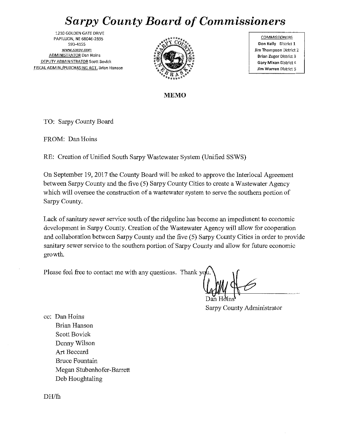# *Sarpy County Board of Commissioners*

**1210 GOLDEN GATE DRIVE PAPILLION, NE 68046-2895**  593-4155 **www.sarpy.com ADMINISTRATOR Dan Hains DEPUTY ADMINISTRATOR Scott Bovick FISCALADMIN./PURCHASING AGT. Brian Hanson** 



**COMMISSIONERS Don Kelly District 1 Jim Thompson District 2 Brian Zuger District 3 Gary Mlxan District** 4 **Jim Warren District 5** 

**MEMO** 

TO: Sarpy County Board

FROM: Dan Hoins

RE: Creation of Unified South Sarpy Wastewater System (Unified SSWS)

On September 19, 2017 the County Board will be asked to approve the Interlocal Agreement between Sarpy County and the five (5) Sarpy County Cities to create a Wastewater Agency which will oversee the construction of a wastewater system to serve the southern portion of Sarpy County.

Lack of sanitary sewer service south of the ridgeline has become an impediment to economic development in Sarpy County. Creation of the Wastewater Agency will allow for cooperation and collaboration between Sarpy County and the five (5) Sarpy County Cities in order to provide sanitary sewer service to the southern portion of Sarpy County and allow for future economic growth.

Please feel free to contact me with any questions. Thank you

Sarpy County Administrator

cc: Dan Hoins Brian Hanson Scott Bovick Denny Wilson Art Beccard Bruce Fountain Megan Stubenhofer-Barrett Deb Houghtaling

DH/lh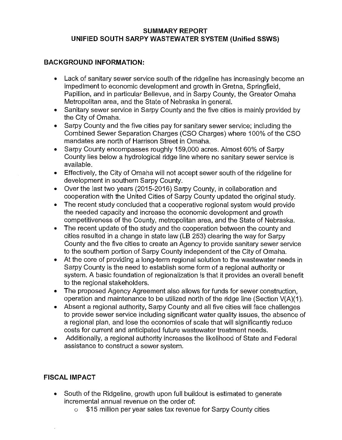# **SUMMARY REPORT UNIFIED SOUTH SARPY WASTEWATER SYSTEM (Unified SSWS)**

# **BACKGROUND INFORMATION:**

- Lack of sanitary sewer service south of the ridgeline has increasingly become an impediment to economic development and growth in Gretna, Springfield, Papillion, and in particular Bellevue, and in Sarpy County, the Greater Omaha Metropolitan area, and the State of Nebraska in general.
- Sanitary sewer service in Sarpy County and the five cities is mainly provided by the City of Omaha.
- Sarpy County and the five cities pay for sanitary sewer service; including the Combined Sewer Separation Charges (CSO Charges) where 100% of the CSO mandates are north of Harrison Street in Omaha.
- Sarpy County encompasses roughly 159,000 acres. Almost 60% of Sarpy County lies below a hydrological ridge line where no sanitary sewer service is available.
- Effectively, the City of Omaha will not accept sewer south of the ridgeline for development in southern Sarpy County.
- Over the last two years (2015-2016) Sarpy County, in collaboration and cooperation with the United Cities of Sarpy County updated the original study.
- The recent study concluded that a cooperative regional system would provide the needed capacity and increase the economic development and growth competitiveness of the County, metropolitan area, and the State of Nebraska.
- The recent update of the study and the cooperation between the county and cities resulted in a change in state law (LB 253) clearing the way for Sarpy County and the five cities to create an Agency to provide sanitary sewer service to the southern portion of Sarpy County independent of the City of Omaha.
- At the core of providing a long-term regional solution to the wastewater needs in Sarpy County is the need to establish some form of a regional authority or system. A basic foundation of regionalization is that it provides an overall benefit to the regional stakeholders.
- The proposed Agency Agreement also allows for funds for sewer construction, operation and maintenance to be utilized north of the ridge line (Section  $V(A)(1)$ .
- Absent a regional authority, Sarpy County and all five cities will face challenges to provide sewer service including significant water quality issues, the absence of a regional plan, and lose the economies of scale that will significantly reduce costs for current and anticipated future wastewater treatment needs.
- Additionally, a regional authority increases the likelihood of State and Federal assistance to construct a sewer system.

# **FISCAL IMPACT**

- South of the Ridgeline, growth upon full buildout is estimated to generate incremental annual revenue on the order of:
	- o \$15 million per year sales tax revenue for Sarpy County cities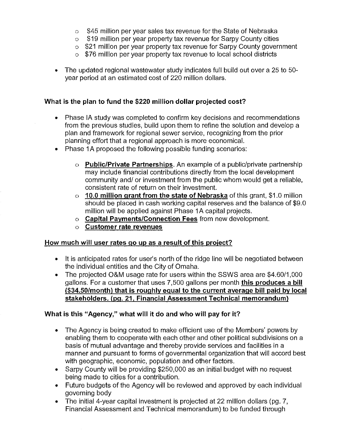- o \$45 million per year sales tax revenue for the State of Nebraska
- o \$19 million per year property tax revenue for Sarpy County cities
- o \$21 million per year property tax revenue for Sarpy County government
- o \$76 million per year property tax revenue to local school districts
- The updated regional wastewater study indicates full build out over a 25 to 50 year period at an estimated cost of 220 million dollars.

# **What is the plan to fund the \$220 million dollar projected cost?**

- Phase IA study was completed to confirm key decisions and recommendations from the previous studies, build upon them to refine the solution and develop a plan and framework for regional sewer service, recognizing from the prior planning effort that a regional approach is more economical.
- Phase 1A proposed the following possible funding scenarios:
	- o **Public/Private Partnerships.** An example of a public/private partnership may include financial contributions directly from the local development community and/ or investment from the public whom would get a reliable, consistent rate of return on their investment.
	- o **10.0 million grant from the state of Nebraska** of this grant, \$1.0 million should be placed in cash working capital reserves and the balance of \$9.0 million will be applied against Phase 1A capital projects.
	- o **Capital Payments/Connection Fees** from new development.
	- o **Customer rate revenues**

# **How much will user rates go up as a result of this project?**

- It is anticipated rates for user's north of the ridge line will be negotiated between the individual entities and the City of Omaha.
- The projected O&M usage rate for users within the SSWS area are \$4.60/1,000 gallons. For a customer that uses 7,500 gallons per month **this produces a bill (\$34.50/month) that is roughly equal to the current average bill paid by local stakeholders. (pg. 21, Financial Assessment Technical memorandum)**

# **What is this "Agency," what will it do and who will pay for it?**

- The Agency is being created to make efficient use of the Members' powers by enabling them to cooperate with each other and other political subdivisions on a basis of mutual advantage and thereby provide services and facilities in a manner and pursuant to forms of governmental organization that will accord best with geographic, economic, population and other factors.
- **e** Sarpy County will be providing \$250,000 as an initial budget with no request being made to cities for a contribution.
- Future budgets of the Agency will be reviewed and approved by each individual governing body
- The initial 4-year capital investment is projected at 22 million dollars (pg. 7, Financial Assessment and Technical memorandum) to be funded through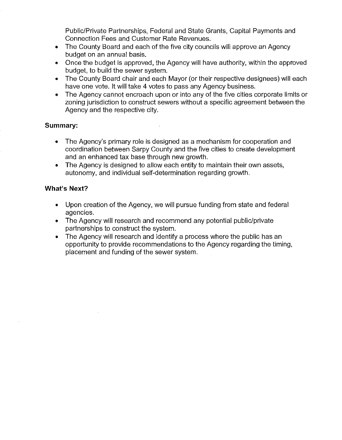Public/Private Partnerships, Federal and State Grants, Capital Payments and Connection Fees and Customer Rate Revenues.

- The County Board and each of the five city councils will approve an Agency budget on an annual basis.
- Once the budget is approved, the Agency will have authority, within the approved budget, to build the sewer system.
- The County Board chair and each Mayor (or their respective designees) will each have one vote. It will take 4 votes to pass any Agency business.
- The Agency cannot encroach upon or into any of the five cities corporate limits or zoning jurisdiction to construct sewers without a specific agreement between the Agency and the respective city.

# **Summary:**

- The Agency's primary role is designed as a mechanism for cooperation and coordination between Sarpy County and the five cities to create development and an enhanced tax base through new growth.
- The Agency is designed to allow each entity to maintain their own assets, autonomy, and individual self-determination regarding growth.

# **What's Next?**

- Upon creation of the Agency, we will pursue funding from state and federal agencies.
- The Agency will research and recommend any potential public/private partnerships to construct the system.
- The Agency will research and identify a process where the public has an opportunity to provide recommendations to the Agency regarding the timing, placement and funding of the sewer system.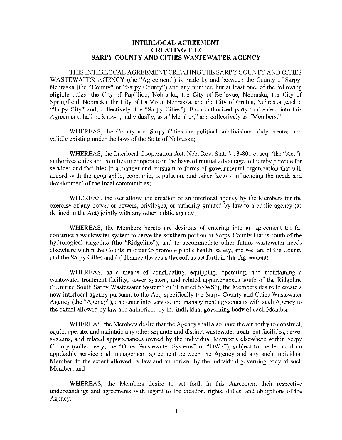# INTERLOCAL AGREEMENT CREATING THE SARPY COUNTY AND CITIES WASTEWATER AGENCY

THIS INTERLOCAL AGREEMENT CREATING THE SARPY COUNTY AND CITIES WASTEWATER AGENCY (the "Agreement") is made by and between the County of Sarpy, Nebraska (the "County" or "Sarpy County") and any number, but at least one, of the following eligible cities: the City of Papillion, Nebraska, the City of Bellevue, Nebraska, the City of Springfield, Nebraska, the City of La Vista, Nebraska, and the City of Gretna, Nebraska (each a "Sarpy City" and, collectively, the "Sarpy Cities"). Each authorized party that enters into this Agreement shall be known, individually, as a "Member," and collectively as "Members."

WHEREAS, the County and Sarpy Cities are political subdivisions, duly created and validly existing under the laws of the State of Nebraska;

WHEREAS, the Interlocal Cooperation Act, Neb. Rev. Stat. § 13-801 et seq. (the "Act"), authorizes cities and counties to cooperate on the basis of mutual advantage to thereby provide for services and facilities in a manner and pursuant to forms of governmental organization that will accord with the geographic, economic, population, and other factors influencing the needs and development of the local communities;

WHEREAS, the Act allows the creation of an interlocal agency by the Members for the exercise of any power or powers, privileges, or authority granted by law to a public agency (as defined in the Act) jointly with any other public agency;

WHEREAS, the Members hereto are desirous of entering into an agreement to: (a) construct a wastewater system to serve the southern portion of Sarpy County that is south of the hydrological ridgeline (the "Ridgeline"), and to accommodate other future wastewater needs elsewhere within the County in order to promote public health, safety, and welfare of the County and the Sarpy Cities and (b) finance the costs thereof, as set forth in this Agreement;

WHEREAS, as a means of constructing, equipping, operating, and maintaining a wastewater treatment facility, sewer system, and related appurtenances south of the Ridgeline ("Unified South Sarpy Wastewater System" or "Unified SSWS"), the Members desire to create a new interlocal agency pursuant to the Act, specifically the Sarpy County and Cities Wastewater Agency (the "Agency"), and enter into service and management agreements with such Agency to the extent allowed by law and authorized by the individual governing body of each Member;

WHEREAS, the Members desire that the Agency shall also have the authority to construct, equip, operate, and maintain any other separate and distinct wastewater treatment facilities, sewer systems, and related appurtenances owned by the individual Members elsewhere within Sarpy County (collectively, the "Other Wastewater Systems" or "OWS"), subject to the terms of an applicable service and management agreement between the Agency and any such individual Member, to the extent allowed by law and authorized by the individual governing body of such Member; and

WHEREAS, the Members desire to set forth in this Agreement their respective understandings and agreements with regard to the creation, rights, duties, and obligations of the Agency.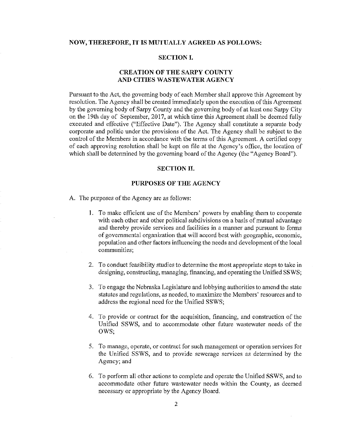# **NOW, THEREFORE, IT IS MUTUALLY AGREED AS FOLLOWS:**

## **SECTION I.**

# **CREATION OF THE SARPY COUNTY AND CITIES WASTEWATER AGENCY**

Pursuant to the Act, the governing body of each Member shall approve this Agreement by resolution. The Agency shall be created immediately upon the execution of this Agreement by the governing body of Sarpy County and the governing body of at least one Sarpy City on the 19th day of September, 2017, at which time this Agreement shall be deemed fully executed and effective ("Effective Date"). The Agency shall constitute a separate body corporate and politic under the provisions of the Act. The Agency shall be subject to the control of the Members in accordance with the terms of this Agreement. A certified copy of each approving resolution shall be kept on file at the Agency's office, the location of which shall be determined by the governing board of the Agency (the "Agency Board").

#### **SECTION II.**

#### **PURPOSES OF THE AGENCY**

A. The purposes of the Agency are as follows:

- I. To make efficient use of the Members' powers by enabling them to cooperate with each other and other political subdivisions on a basis of mutual advantage and thereby provide services and facilities in a manner and pursuant to forms of governmental organization that will accord best with geographic, economic, population and other factors influencing the needs and development of the local communities;
- 2. To conduct feasibility studies to determine the most appropriate steps to take in designing, constructing, managing, financing, and operating the Unified SSWS;
- 3. To engage the Nebraska Legislature and lobbying authorities to amend the state statutes and regulations, as needed, to maximize the Members' resources and to address the regional need for the Unified SSWS;
- 4. To provide or contract for the acquisition, financing, and construction of the Unified SSWS, and to accommodate other futme wastewater needs of the OWS;
- 5. To manage, operate, or contract for such management or operation services for the Unified SSWS, and to provide sewerage services as determined by the Agency; and
- 6. To perform all other actions to complete and operate the Unified SSWS, and to accommodate other future wastewater needs within the County, as deemed necessary or appropriate by the Agency Board.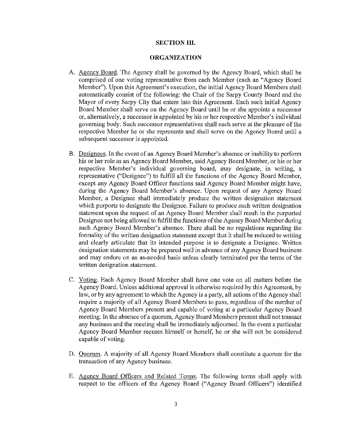#### **SECTION III.**

#### **ORGANIZATION**

- A. Agency Board. The Agency shall be governed by the Agency Board, which shall be comprised of one voting representative from each Member (each an "Agency Board Member"). Upon this Agreement's execution, the initial Agency Board Members shall automatically consist of the following: the Chair of the Sarpy County Board and the Mayor of every Sarpy City that enters into this Agreement. Each such initial Agency Board Memher shall serve on the Agency Board until he or she appoints a successor or, alternatively, a successor is appointed by his or her respective Member's individual governing body. Such successor representatives shall each serve at the pleasure of the respective Member he or she represents and shall serve on the Agency Board until a subsequent successor is appointed.
- B. Designees. In the event of an Agency Board Member's absence or inability to perform his or her role as an Agency Board Member, said Agency Board Member, or his or her respective Member's individual governing board, may designate, in writing, a representative ("Designee") to fulfill all the functions of the Agency Board Member, except any Agency Board Officer functions said Agency Board Member might have, during the Agency Board Member's absence. Upon request of any Agency Board Member, a Designee shall immediately produce the written designation statement which purports to designate the Designee. Failure to produce such written designation statement upon the request of an Agency Board Member shall result in the purported Designee not being allowed to fulfill the functions of the Agency Board Member during such Agency Board Member's absence. There shall be no regulations regarding the formality of the written designation statement except that it shall be reduced to writing and clearly articulate that its intended purpose is to designate a Designee. Written designation statements may be prepared well in advance of any Agency Board business and may endure on an as-needed basis unless clearly terminated per the terms of the written designation statement.
- C. Voting. Each Agency Board Member shall have one vote on all matters before the Agency Board. Unless additional approval is otherwise required by this Agreement, by law, or by any agreement to which the Agency is a party, all actions of the Agency shall require a majority of all Agency Board Members to pass, regardless of the number of Agency Board Members present and capable of voting at a particular Agency Board meeting. In the absence of a quorum, Agency Board Members present shall not transact any business and the meeting shall be immediately adjourned. In the event a particular Agency Board Member recuses himself or herself, he or she will not be considered capable of voting.
- D. Quorum. A majority of all Agency Board Members shall constitute a quorum for the transaction of any Agency business.
- E. Agency Board Officers and Related Terms. The following terms shall apply with respect to the officers of the Agency Board ("Agency Board Officers") identified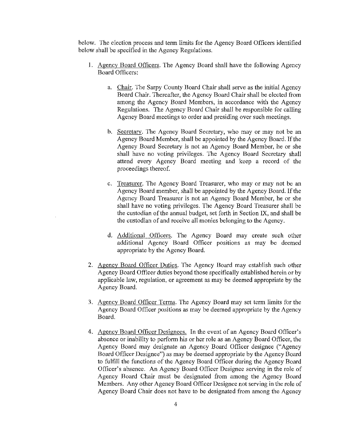below. The election process and term limits for the Agency Board Officers identified below shall be specified in the Agency Regulations.

- I. Agency Board Officers. The Agency Board shall have the following Agency Board Officers:
	- a. Chair. The Sarpy County Board Chair shall serve as the initial Agency Board Chair. Thereafter, the Agency Board Chair shall be elected from among the Agency Board Members, in accordance with the Agency Regulations. The Agency Board Chair shall be responsible for calling Agency Board meetings to order and presiding over such meetings.
	- b. Secretary. The Agency Board Secretary, who may or may not be an Agency Board Member, shall be appointed by the Agency Board. If the Agency Board Secretary is not an Agency Board Member, he or she shall have no voting privileges. The Agency Board Secretary shall attend every Agency Board meeting and keep a record of the proceedings thereof.
	- c. Treasurer. The Agency Board Treasurer, who may or may not be an Agency Board member, shall be appointed by the Agency Board. If the Agency Board Treasurer is not an Agency Board Member, he or she shall have no voting privileges. The Agency Board Treasurer shall be the custodian of the annual budget, set forth in Section IX, and shall be the custodian of and receive all monies belonging to the Agency.
	- d. Additional Officers. The Agency Board may create such other additional Agency Board Officer positions as may be deemed appropriate by the Agency Board.
- 2. Agency Board Officer Duties. The Agency Board may establish such other Agency Board Officer duties beyond those specifically established herein or by applicable law, regulation, or agreement as may be deemed appropriate by the Agency Board.
- 3. Agency Board Officer Terms. The Agency Board may set term limits for the Agency Board Officer positions as may be deemed appropriate by the Agency Board.
- 4. Agency Board Officer Designees. In the event of an Agency Board Officer's absence or inability to perform his or her role as an Agency Board Officer, the Agency Board may designate an Agency Board Officer designee ("Agency Board Officer Designee") as may be deemed appropriate by the Agency Board to fulfill the functions of the Agency Board Officer during the Agency Board Officer's absence. An Agency Board Officer Designee serving in the role of Agency Board Chair must be designated from among the Agency Board Members. Any other Agency Board Officer Designee not serving in the role of Agency Board Chair does not have to be designated from among the Agency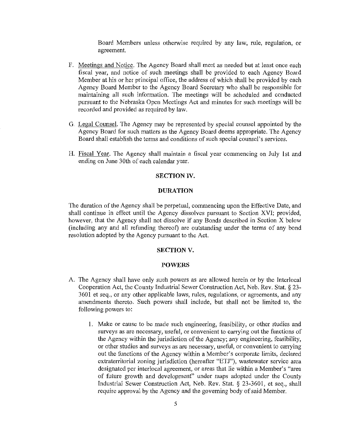Board Members unless otherwise required by any law, rnle, regulation, or agreement.

- F. Meetings and Notice. The Agency Board shall meet as needed but at least once each fiscal year, and notice of such meetings shall be provided to each Agency Board Member at his or her principal office, the address of which shall be provided by each Agency Board Member to the Agency Board Secretary who shall be responsible for maintaining all such information. The meetings will be scheduled and conducted pursuant to the Nebraska Open Meetings Act and minutes for such meetings will be recorded and provided as required by law.
- G. Legal Counsel. The Agency may be represented by special counsel appointed by the Agency Board for such matters as the Agency Board deems appropriate. The Agency Board shall establish the terms and conditions of such special counsel's services.
- H. Fiscal Year. The Agency shall maintain a fiscal year commencing on July 1st and ending on June 30th of each calendar year.

# **SECTION IV.**

## **DURATION**

The duration of the Agency shall be perpetual, commencing upon the Effective Date, and shall continue in effect until the Agency dissolves pursuant to Section XVI; provided, however, that the Agency shall not dissolve if any Bonds described **in** Section X below (including any and all refunding thereof) are outstanding under the terms of any bond resolution adopted by the Agency pursuant to the Act.

# **SECTION V.**

#### **POWERS**

- A. The Agency shall have only such powers as are allowed herein or by the lnterlocal Cooperation Act, the County Industrial Sewer Constrnction Act, Neb. Rev. Stat. *§* 23- 3601 et seq., or any other applicable laws, rules, regulations, or agreements, and any amendments thereto. Such powers shall include, but shall not be limited to, the following powers to:
	- **1.** Make or cause to be made such engineering, feasibility, or other studies and surveys as are necessary, useful, or convenient to carrying out the functions of the Agency within the jurisdiction of the Agency; any engineering, feasibility, or other studies and surveys as arc necessary, useful, or convenient to carrying out the functions of the Agency within a Member's corporate limits, declared extraterritorial zoning jurisdiction (hereafter "ETJ"), wastewater service area designated per interlocal agreement, or areas that lie within a Member's "area of future growth and development" under maps adopted under the County Industrial Sewer Constrnction Act, Neb. Rev. Stat. *§* 23-3601, et seq., shall require approval by the Agency and the governing body of said Member.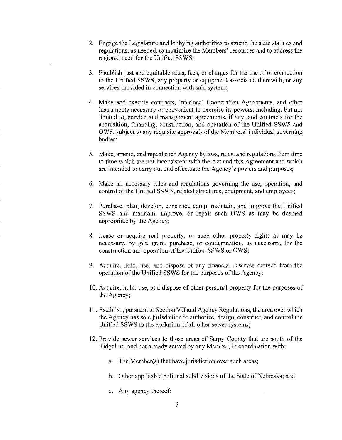- 2. Engage the Legislature and lobbying authorities to amend the state statutes and regulations, as needed, to maximize the Members' resources and to address the regional need for the Unified SSWS;
- 3. Establish just and equitable rates, fees, or charges for the use of or connection to the Unified SSWS, any property or equipment associated therewith, or any services provided in connection with said system;
- 4. Make and execute contracts, Interlocal Cooperation Agreements, and other instruments necessary or convenient to exercise its powers, including, but not limited to, service and management agreements, if any, and contracts for the acquisition, financing, construction, and operation of the Unified SSWS and OWS, subject to any requisite approvals of the Members' individual governing bodies;
- 5. Make, amend, and repeal such Agency bylaws, rules, and regulations from time to time which are not inconsistent with the Act and this Agreement and which are intended to carry out and effectuate the Agency's powers and purposes;
- 6. Make all necessary rules and regulations governing the use, operation, and control of the Unified SSWS, related structures, equipment, and employees;
- 7. Purchase, plan, develop, construct, equip, maintain, and improve the Unified SSWS and maintain, improve, or repair such OWS as may be deemed appropriate by the Agency;
- 8. Lease or acquire real property, or such other property rights as may be necessary, by gift, grant, purchase, or condemnation, as necessary, for the construction and operation of the Unified SSWS or OWS;
- 9. Acquire, hold, use, and dispose of any financial reserves derived from the operation of the Unified SSWS for the purposes of the Agency;
- 10. Acquire, hold, use, and dispose of other personal property for the purposes of the Agency;
- 11. Establish, pursuant to Section VII and Agency Regulations, the area over which the Agency has sole jurisdiction to authorize, design, construct, and control the Unified SSWS to the exclusion of all other sewer systems;
- 12. Provide sewer services to those areas of Sarpy County that are south of the Ridgeline, and not already served by any Member, in coordination with:
	- a. The Member(s) that have jurisdiction over such areas;
	- b. Other applicable political subdivisions of the State of Nebraska; and
	- c. Any agency thereof;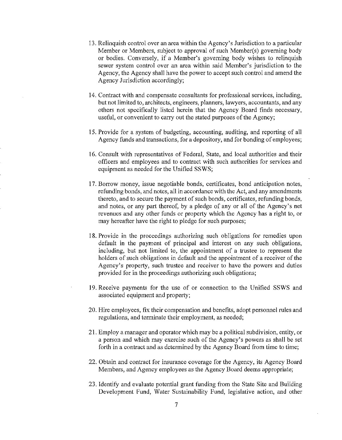- 13. Relinquish control over an area within the Agency's Jmisdiction to a particular Member or Members, subject to approval of such Member(s) governing body or bodies. Conversely, if a Member's goveming body wishes to relinquish sewer system control over an area within said Member's jurisdiction to the Agency, the Agency shall have the power to accept such control and amend the Agency Jurisdiction accordingly;
- 14. Contract with and compensate consultants for professional services, including, but not limited to, architects, engineers, planners, lawyers, accountants, and any others not specifically listed herein that the Agency Board finds necessary, useful, or convenient to carry out the stated purposes of the Agency;
- 15. Provide for a system of budgeting, accounting, auditing, and reporting of all Agency funds and transactions, for a depository, and for bonding of employees;
- 16. Consult with representatives of Federal, State, and local authorities and their officers and employees and to contract with such authorities for services and equipment as needed for the Unified SSWS;
- 17. Borrow money, issue negotiable bonds, certificates, bond anticipation notes, refunding bonds, and notes, all in accordance with the Act, and any amendments thereto, and to secure the payment of such bonds, certificates, refunding bonds, and notes, or any part thereof, by a pledge of any or all of the Agency's net revenues and any other funds or property which the Agency bas a right to, or may hereafter have the right to pledge for such purposes;
- 18. Provide in the proceedings authorizing such obligations for remedies upon default in the payment of principal and interest on any such obligations, including, but not limited to, the appointment of a trustee to represent the holders of such obligations in default and the appointment of a receiver of the Agency's property, such trustee and receiver to have the powers and duties provided for in the proceedings authorizing such obligations;
- 19. Receive payments for the use of or connection to the Unified SSWS and associated equipment and property;
- 20. Hire employees, fix their compensation and benefits, adopt personnel rules and regulations, and terminate their employment, as needed;
- 21. Employ a manager and operator which may be a political subdivision, entity, or a person and which may exercise such of the Agency's powers as shall be set forth in a contract and as determined by the Agency Board from time to time;
- 22. Obtain and contract for insurance coverage for the Agency, its Agency Board Members, and Agency employees as the Agency Board deems appropriate;
- 23. Identify and evaluate potential grant funding from the State Site and Building Development Fund, Water Sustainability Fund, legislative action, and other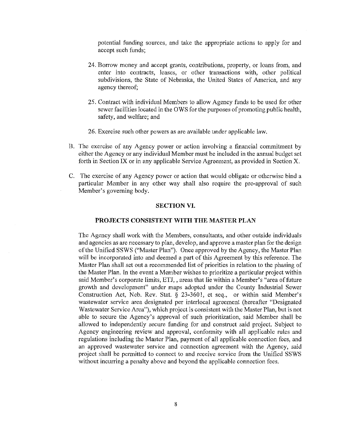potential funding sources, and take the appropriate actions to apply for and accept such funds;

- 24. Borrow money and accept grants, contributions, property, or loans from, and enter into contracts, leases, or other transactions with, other political subdivisions, the State of Nebraska, the United States of America, and any agency thereof;
- 25. Contract with individual Members to allow Agency funds to be used for other sewer facilities located in the OWS for the purposes of promoting public health, safety, and welfare; and
- 26. Exercise such other powers as are available under applicable law.
- B. The exercise of any Agency power or action involving a financial cmmnitment by either the Agency or any individual Member must be included in the annual budget set forth in Section IX or in any applicable Service Agreement, as provided in Section X.
- C. The exercise of any Agency power or action that would obligate or otherwise bind a particular Member in any other way shall also require the pre-approval of such Member's governing body.

#### **SECTION VI.**

#### **PROJECTS CONSISTENT WITH THE MASTER PLAN**

The Agency shall work with the Members, consultants, and other outside individuals and agencies as are necessary to plan, develop, and approve a master plan for the design of the Unified SSWS ("Master Plan"). Once approved by the Agency, the Master Plan will be incorporated into and deemed a part of this Agreement by this reference. The Master Plan shall set out a recommended list of priorities in relation to the phasing of the Master Plan. In the event a Member wishes to prioritize a particular project within said Member's corporate limits, ETJ,, areas that lie within a Member's "area of future growth and development" under maps adopted under the County Industrial Sewer Construction Act, Neb. Rev. Stat. *§* 23-3601, et seq., or within said Member's wastewater service area designated per interlocal agreement (hereafter "Designated Wastewater Service Area"), which project is consistent with the Master Plan, but is not able to secure the Agency's approval of such prioritization, said Member shall be allowed to independently secure funding for and construct said project. Subject to Agency engineering review and approval, conformity with all applicable rules and regulations including the Master Plan, payment of all applicable connection fees, and an approved wastewater service and connection agreement with the Agency, said project shall be permitted to connect to and receive service from the Unified SSWS without incurring a penalty above and beyond the applicable connection fees.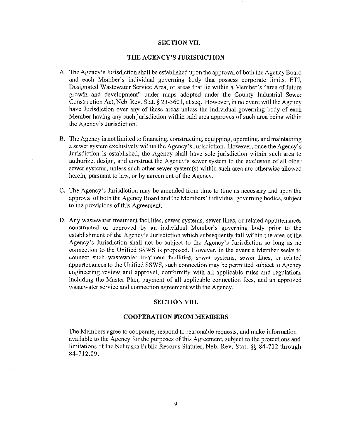## **SECTION VII.**

## **THE AGENCY'S JURISDICTION**

- A. The Agency's Jurisdiction shall be established upon the approval of both the Agency Board and each Member's individual governing body that possess corporate limits, ETJ, Designated Wastewater Service Area, or areas that lie within a Member's "area of future growth and development" under maps adopted under the County Industrial Sewer Construction Act, Neb. Rev. Stat.§ 23-3601, et seq. However, in no event will the Agency have Jurisdiction over any of these areas unless the individual governing body of each Member having any such jurisdiction within said area approves of such area being within the Agency's Jurisdiction.
- B. The Agency is not limited to financing, constructing, equipping, operating, and maintaining a sewer system exclusively within the Agency's Jurisdiction. However, once the Agency's Jurisdiction is established, the Agency shall have sole jurisdiction within such area to authorize, design, and construct the Agency's sewer system to the exclusion of all other sewer systems, unless such other sewer system(s) within such area are otherwise allowed herein, pursuant to law, or by agreement of the Agency.
- C. The Agency's Jurisdiction may be amended from time to time as necessary and upon the approval of both the Agency Board and the Members' individual governing bodies, subject to the provisions of this Agreement.
- D. Any wastewater treatment facilities, sewer systems, sewer lines, or related appurtenances constructed or approved by an individual Member's governing body prior to the establishment of the Agency's Jurisdiction which subsequently fall within the area of the Agency's Jurisdiction shall not be subject to the Agency's Jurisdiction so long as no connection to the Unified SSWS is proposed. However, in the event a Member seeks to connect such wastewater treatment facilities, sewer systems, sewer lines, or related appurtenances to the Unified SSWS, such connection may be permitted subject to Agency engineering review and approval, conformity with all applicable rules and regulations including the Master Plan, payment of all applicable connection fees, and an approved wastewater service and connection agreement with the Agency.

#### **SECTION VIII.**

## **COOPERATION FROM MEMBERS**

The Members agree to cooperate, respond to reasonable requests, and make information available to the Agency for the purposes of this Agreement, subject to the protections and limitations of the Nebraska Public Records Statutes, Neb. Rev. Stat. §§ 84-712 through 84-712.09.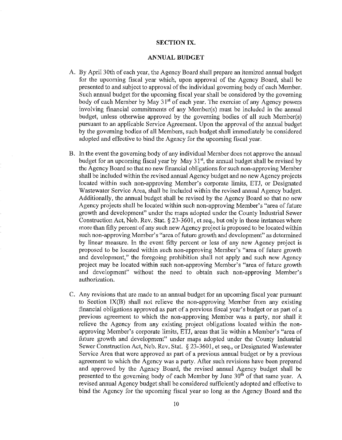## **SECTION IX.**

## **ANNUAL BUDGET**

- A. By April 30th of each year, the Agency Board shall prepare an itemized annual budget for the upcoming fiscal year which, upon approval of the Agency Board, shall be presented to and subject to approval of the individual governing body of each Member. Such annual budget for the upcoming fiscal year shall be considered by the governing body of each Member by May 31<sup>st</sup> of each year. The exercise of any Agency powers involving financial commitments of any Member(s) must be included in the annual budget, unless otherwise approved by the governing bodies of all such Member(s) pursuant to an applicable Service Agreement. Upon the approval of the annual budget by the governing bodies of all Members, such budget shall immediately be considered adopted and effective to bind the Agency for the upcoming fiscal year.
- B. In the event the governing body of any individual Member does not approve the annual budget for an upcoming fiscal year by May 31<sup>st</sup>, the annual budget shall be revised by the Agency Board so that no new financial obligations for such non-approving Member shall be included within the revised annual Agency budget and no new Agency projects located within such non-approving Member's corporate limits, ETJ, or Designated Wastewater Service Area, shall be included within the revised annual Agency budget. Additionally, the annual budget shall be revised by the Agency Board so that no new Agency projects shall be located within such non-approving Member's "area of future growth and development" under the maps adopted under the County Industrial Sewer Construction Act, Neb. Rev. Stat.§ 23-3601, et seq., but only in those instances where more than fifty percent of any such new Agency project is proposed to be located within such non-approving Member's "area of future growth and development" as determined by linear measure. In the event fifty percent or less of any new Agency project is proposed to be located within such non-approving Member's "area of future growth and development," the foregoing prohibition shall not apply and such new Agency project may be located within such non-approving Member's "area of future growth and development" without the need to obtain such non-approving Member's authorization.
- C. Any revisions that are made to an annual budget for an upcoming fiscal year pursuant to Section IX(B) shall not relieve the non-approving Member from any existing financial obligations approved as part of a previous fiscal year's budget or as part of a previous agreement to which the non-approving Member was a party, nor shall it relieve the Agency from any existing project obligations located within the nonapproving Member's corporate limits, ETJ, areas that lie within a Member's "area of future growth and development" under maps adopted under the County Industrial Sewer Construction Act, Neb. Rev. Stat. § 23-3601, et seq., or Designated Wastewater Service Area that were approved as part of a previous annual budget or by a previous agreement to which the Agency was a party. After such revisions have been prepared and approved by the Agency Board, the revised annual Agency budget shall be presented to the governing body of each Member by June  $30<sup>th</sup>$  of that same year. A revised annual Agency budget shall be considered sufficiently adopted and effective to bind the Agency for the upcoming fiscal year so long as the Agency Board and the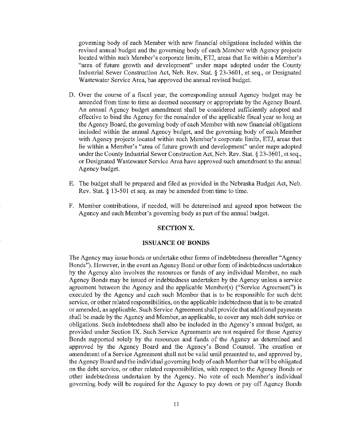governing body of each Member with new financial obligations included within the revised annual budget and the governing body of each Member with Agency projects located within such Member's corporate limits, ETJ, areas that lie within a Member's "area of future growth and development" under maps adopted under the County Industrial Sewer Construction Act, Neb. Rev. Stat. § 23-3601, et seq., or Designated Wastewater Service Area, has approved the annual revised budget.

- D. Over the course of a fiscal year, the corresponding annual Agency budget may be amended from time to time as deemed necessary or appropriate by the Agency Board. An annual Agency budget amendment shall be considered sufficiently adopted and effective to bind the Agency for the remainder of the applicable fiscal year so long as the Agency Board, the governing body of each Member with new financial obligations included within the annual Agency budget, and the governing body of each Member with Agency projects located within such Member's corporate limits, ETJ, areas that lie within a Member's "area of future growth and development" under maps adopted under the County Industrial Sewer Construction Act, Neb. Rev. Stat.§ 23-3601, et seq., or Designated Wastewater Service Area have approved such amendment to the annual Agency budget.
- E. The budget shall be prepared and filed as provided in the Nebraska Budget Act, Neb. Rev. Stat.§ 13-501 et seq. as may be amended from time to time.
- F. Member contributions, if needed, will be determined and agreed upon between the Agency and each Member's governing body as part of the annual budget.

#### **SECTIONX.**

#### **ISSUANCE OF BONDS**

The Agency may issue bonds or undertake other forms of indebtedness (hereafter "Agency Bonds"). However, in the event an Agency Bond or other form of indebtedness undertaken by the Agency also involves the resources or funds of any individual Member, no such Agency Bonds may be issued or indebtedness undertaken by the Agency unless a service agreement between the Agency and the applicable Member(s) ("Service Agreement") is executed by the Agency and each such Member that is to be responsible for such debt service, or other related responsibilities, on the applicable indebtedness that is to be created or amended, as applicable. Such Service Agreement shall provide that additional payments shall be made by the Agency and Member, as applicable, to cover any such debt service or obligations. Such indebtedness shall also be included in the Agency's annual budget, as provided under Section IX. Such Service Agreements are not required for those Agency Bonds supported solely by the resources and funds of the Agency as determined and approved by the Agency Board and the Agency's Bond Counsel. The creation or amendment of a Service Agreement shall not be valid until presented to, and approved by, the Agency Board and the individual governing body of each Member that will be obligated on the debt service, or other related responsibilities, with respect to the Agency Bonds or other indebtedness undertaken by the Agency. No vote of each Member's individual governing body will be required for the Agency to pay down or pay off Agency Bonds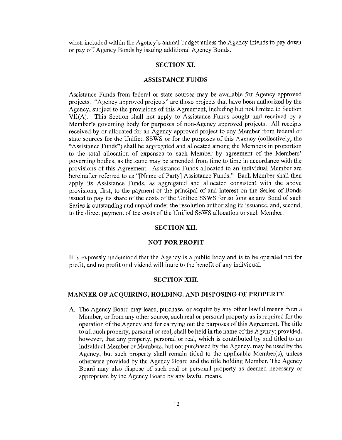when included within the Agency's annual budget unless the Agency intends to pay down or pay off Agency Bonds by issuing additional Agency Bonds.

#### **SECTION XI.**

#### **ASSISTANCE FUNDS**

Assistance Funds from federal or state sources may be available for Agency approved projects. "Agency approved projects" are those projects that have been authorized by the Agency, subject to the provisions of this Agreement, including but not limited to Section VII(A). This Section shall not apply to Assistance Funds sought and received by a Member's governing body for purposes of non-Agency approved projects. All receipts received by or allocated for an Agency approved project to any Member from federal or state sources for the Unified SSWS or for the purposes of this Agency (collectively, the "Assistance Funds") shall be aggregated and allocated among the Members in proportion to the total allocation of expenses to each Member by agreement of the Members' governing bodies, as the same may be amended from time to time in accordance with the provisions of this Agreement. Assistance Funds allocated to an individual Member are hereinafter referred to as "[Name of Party] Assistance Funds." Each Member shall then apply its Assistance Funds, as aggregated and allocated consistent with the above provisions, first, to the payment of the principal of and interest on the Series of Bonds issued to pay its share of the costs of the Unified SSWS for so long as any Bond of such Series is outstanding and unpaid under the resolution authorizing its issuance, and, second, to the direct payment of the costs of the Unified SSWS allocation to such Member.

#### **SECTION XII.**

#### **NOT FOR PROFIT**

It is expressly understood that the Agency is a public body and is to be operated not for profit, and no profit or dividend will inure to the benefit of any individual.

#### **SECTION XIII.**

## **MANNER OF ACQUIRING, HOLDING, AND DISPOSING OF PROPERTY**

A. The Agency Board may lease, purchase, or acquire by any other lawful means from a Member, or from any other source, such real or personal property as is required for the operation of the Agency and for carrying out the purposes of this Agreement. The title to all such property, personal or real, shall be held **in** the name of the Agency; provided, however, that any property, personal or real, which is contributed by and titled to an individual Member or Members, but not purchased by the Agency, may be used by the Agency, but such property shall remain titled to the applicable Member(s), unless otherwise provided by the Agency Board and the title holding Member. The Agency Board may also dispose of such real or personal property as deemed necessary or appropriate by the Agency Board by any lawful means.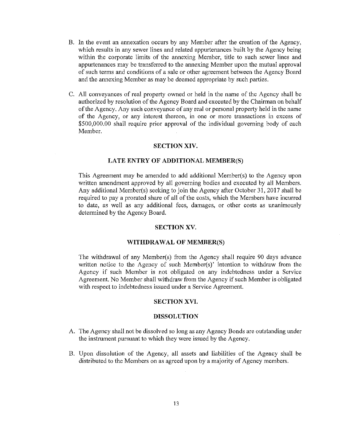- B. In the event an annexation occurs by any Member after the creation of the Agency, which results in any sewer lines and related appurtenances built by the Agency being within the corporate limits of the annexing Member, title to such sewer lines and appurtenances may be transferred to the annexing Member upon the mutual approval of such terms and conditions of a sale or other agreement between the Agency Board and the annexing Member as may be deemed appropriate by such parties.
- C. All conveyances of real property owned or held in the name of the Agency shall be authorized by resolution of the Agency Board and executed by the Chairman on behalf of the Agency. Any such conveyance of any real or personal property held in the name of the Agency, or any interest thereon, in one or more transactions in excess of  $$500,000.00$  shall require prior approval of the individual governing body of each Member.

# **SECTION XIV.**

#### **LATE ENTRY OF ADDITIONAL MEMBER(S)**

This Agreement may be amended to add additional Member(s) to the Agency upon written amendment approved by all governing bodies and executed by all Members. Any additional Member(s) seeking to join the Agency after October 31, 2017 shall be required to pay a prorated share of all of the costs, which the Members have incurred to date, as well as any additional fees, damages, or other costs as unanimously determined by the Agency Board.

## **SECTION XV.**

#### **WITHDRAWAL OF MEMBER(S)**

The withdrawal of any Member(s) from the Agency shall require 90 days advance written notice to the Agency of such Member(s)' intention to withdraw from the Agency **if** such Member is not obligated on any indebtedness under a Service Agreement. No Member shall withdraw from the Agency if such Member is obligated with respect to indebtedness issued under a Service Agreement.

## **SECTION XVI.**

#### **DISSOLUTION**

- A. The Agency shall not be dissolved so long as any Agency Bonds are outstanding under the instrument pursuant to which they were issued by the Agency.
- B. Upon dissolution of the Agency, all assets and liabilities of the Agency shall be distributed to the Members on as agreed upon by a majority of Agency members.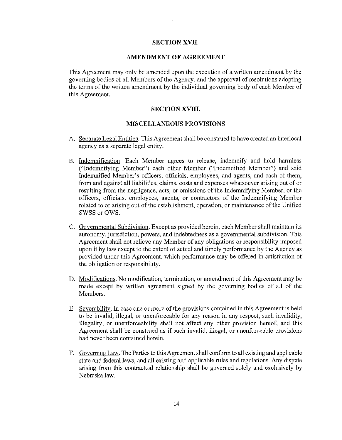# **SECTION XVII.**

# **AMENDMENT OF AGREEMENT**

This Agreement may only be amended upon the execution of a written amendment by the governing bodies of all Members of the Agency, and the approval of resolutions adopting the terms of the written amendment by the individual governing body of each Member of this Agreement.

## **SECTION XVIII.**

## **MISCELLANEOUS PROVISIONS**

- A. Separate Legal Entities. This Agreement shall be construed to have created an interlocal agency as a separate legal entity.
- B. Indemnification. Each Member agrees to release, indemnify and hold harmless ("Indemnifying Member") each other Member ("Indemnified Member") and said Indemnified Member's officers, officials, employees, and agents, and each of them, from and against all liabilities, claims, costs and expenses whatsoever arising out of or resulting from the negligence, acts, or omissions of the Indemnifying Member, or the officers, officials, employees, agents, or contractors of the Indemnifying Member related to or arising out of the establishment, operation, or maintenance of the Unified SWSS or OWS.
- C. Governmental Subdivision. Except as provided herein, each Member shall maintain its autonomy, jurisdiction, powers, and indebtedness as a governmental subdivision. This Agreement shall not relieve any Member of any obligations or responsibility imposed upon it by law except to the extent of actual and timely performance by the Agency as provided under this Agreement, which performance may be offered in satisfaction of the obligation or responsibility.
- D. Modifications. No modification, termination, or amendment of this Agreement may be made except by written agreement signed by the governing bodies of all of the Members.
- E. Severability. In case one or more of the provisions contained in this Agreement is held to be invalid, illegal, or unenforceable for any reason in any respect, such invalidity, illegality, or unenforceability shall not affect any other provision hereof, and this Agreement shall be construed as if such invalid, illegal, or unenforceable provisions had never been contained herein.
- F. Governing Law. The Parties to this Agreement shall conform to all existing and applicable state and federal laws, and all existing and applicable rules and regulations. Any dispute arising from this contractual relationship shall be governed solely and exclusively by Nebraska law.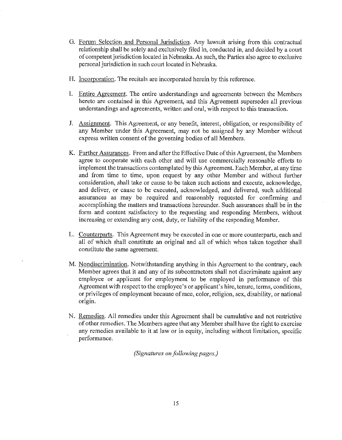- G. Fotum Selection and Personal Jurisdiction. Any lawsuit arising from this contractual relationship shall be solely and exclusively filed in, conducted in, and decided by a court of competent jurisdiction located in Nebraska. As such, the Parties also agree to exclusive personal jurisdiction in such court located in Nebraska.
- H. Incorporation. The recitals are incorporated herein by this reference.
- I. Entire Agreement. The entire understandings and agreements between the Members hereto are contained in this Agreement, and this Agreement supersedes all previous understandings and agreements, written and oral, with respect to this transaction.
- J. Assignment. This Agreement, or any benefit, interest, obligation, or responsibility of any Member under this Agreement, may not be assigned by any Member without express written consent of the governing bodies of all Members.
- K. Further Assurances. From and after the Effective Date of this Agreement, the Members agree to cooperate with each other and will use commercially reasonable efforts to implement the transactions contemplated by this Agreement. Each Member, at any time and from time to time, upon request by any other Member and without further consideration, shall take or cause to be taken such actions and execute, acknowledge, and deliver, or cause to be executed, acknowledged, and delivered, such additional assurances as may be required and reasonably requested for confirming and accomplishing the matters and transactions hereunder. Such assurances shall be in the form and content satisfactory to the requesting and responding Members, without increasing or extending any cost, duty, or liability of the responding Member.
- L. Counterparts. This Agreement may be executed in one or more counterparts, each and all of which shall constitute an original and all of which when taken together shall constitute the same agreement.
- M. Nondiscrimination. Notwithstanding anything in this Agreement to the contrary, each Member agrees that it and any of its subcontractors shall not discriminate against any employee or applicant for employment to be employed in performance of this Agreement with respect to the employee's or applicant's hire, tenure, terms, conditions, or privileges of employment because of race, color, religion, sex, disability, or national origin.
- N. Remedies. All remedies under this Agreement shall be cumulative and not restrictive of other remedies. The Members agree that any Member shall have the right to exercise any remedies available to it at law or in equity, including without limitation, specific performance.

*(Signatures on.following pages.)*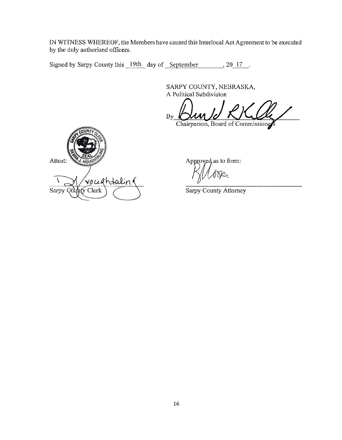Signed by Sarpy County this 19th day of September 30 17

SARPY COUNTY, NEBRASKA, A Political Subdivision

 $B_{\rm By}$  Bun Id RKUll

Chairperson, Board of Commissioner

Attest: voceahtalin Sarpy Compty Clerk

Approved, as to form:

De

Sarpy County Attorney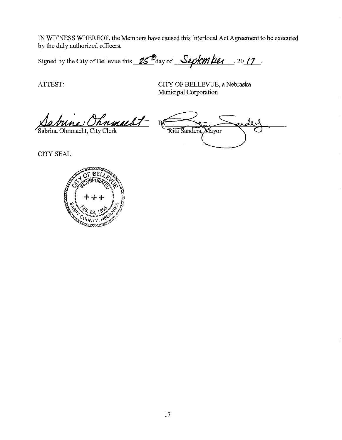Signed by the City of Bellevue this  $25<sup>th</sup>$  day of Septem ber . 2017.

ATTEST:

CITY OF BELLEVUE, a Nebraska Municipal Corporation

<u>Aabuna Chnmacht</u>

لروله Rita Sanders, Mayor

**CITY SEAL** 

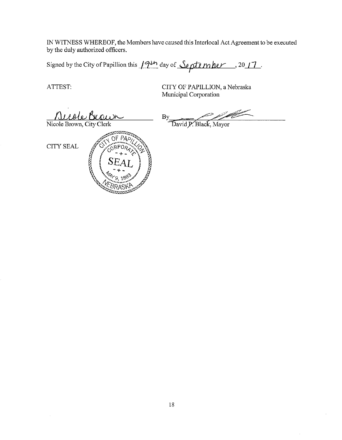Signed by the City of Papillion this 19th day of September . 2017.

ATTEST:

CITY OF PAPILLION, a Nebraska Municipal Corporation

<u>Miole Brouw</u>

By David P. Black, Mayor



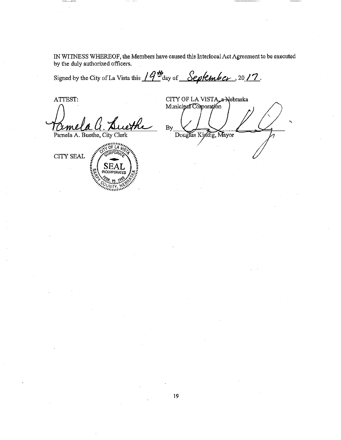Signed by the City of La Vista this  $19<sup>46</sup>$  day of September, 2017.

ATTEST: Pamela A. Buethe, City Clerk

 $\sim$  of L4  $\mu$ **CITY SEAL** SEA

CITY OF LA VISTA a-Nebraska Municipal Corporation  $By$ Douglas Kindig, Mayor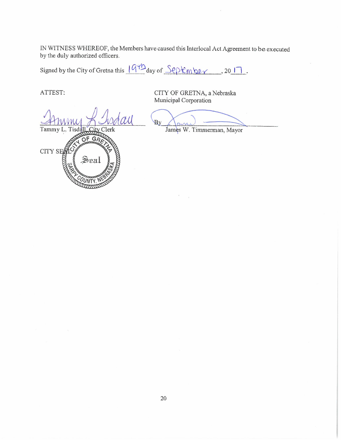Signed by the City of Gretna this  $(9)$ <sup>+</sup> $\Delta$ <sub>day of  $\frac{Sepkmb\ell\gamma}{\ell}$ , 20  $\Box$ .</sub>

ATTEST:

CITY SI

 $\mathcal{U}$ Tammy L. Tisda

OF GA

Sea

CITY OF GRETNA, a Nebraska Municipal Corporation

By

James W. Timmerman, Mayor